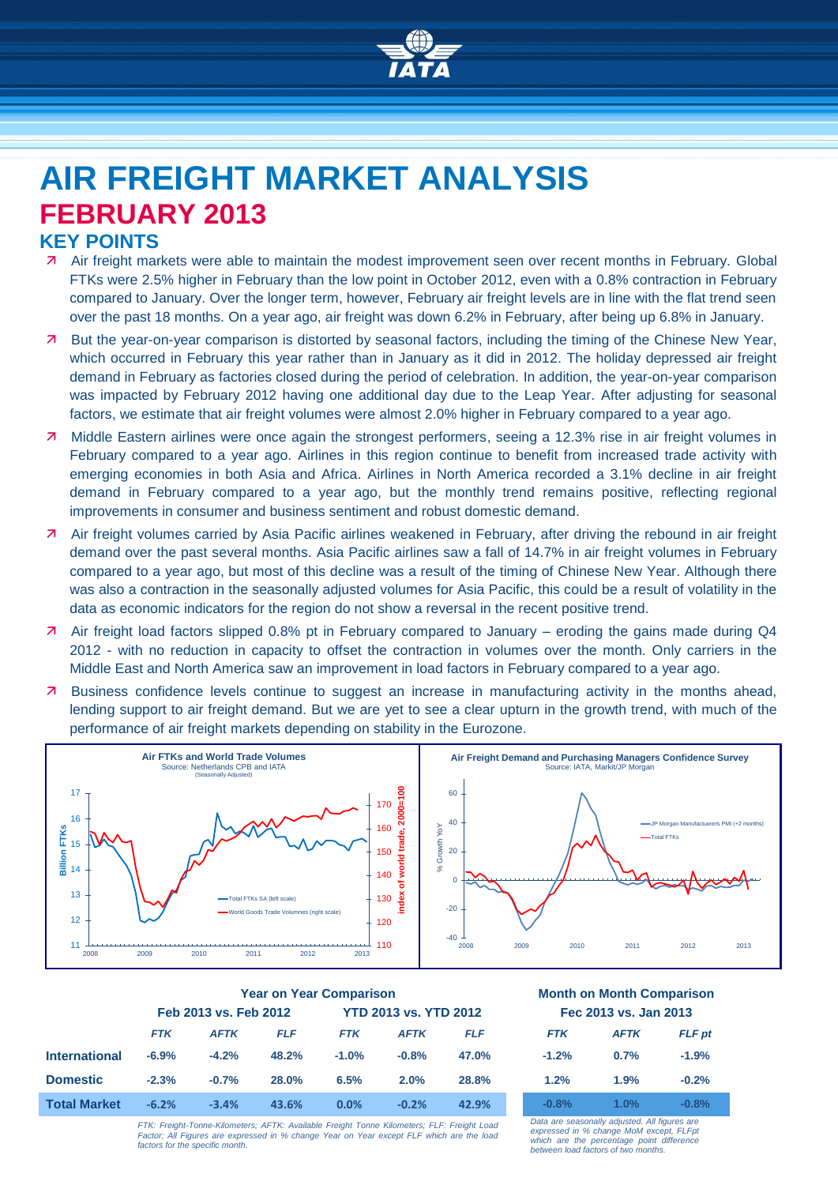

# **AIR FREIGHT MARKET ANALYSIS FEBRUARY 2013**

## **KEY POINTS**

- Air freight markets were able to maintain the modest improvement seen over recent months in February. Global FTKs were 2.5% higher in February than the low point in October 2012, even with a 0.8% contraction in February compared to January. Over the longer term, however, February air freight levels are in line with the flat trend seen over the past 18 months. On a year ago, air freight was down 6.2% in February, after being up 6.8% in January.
- But the year-on-year comparison is distorted by seasonal factors, including the timing of the Chinese New Year, which occurred in February this year rather than in January as it did in 2012. The holiday depressed air freight demand in February as factories closed during the period of celebration. In addition, the year-on-year comparison was impacted by February 2012 having one additional day due to the Leap Year. After adjusting for seasonal factors, we estimate that air freight volumes were almost 2.0% higher in February compared to a year ago.
- 7 Middle Eastern airlines were once again the strongest performers, seeing a 12.3% rise in air freight volumes in February compared to a year ago. Airlines in this region continue to benefit from increased trade activity with emerging economies in both Asia and Africa. Airlines in North America recorded a 3.1% decline in air freight demand in February compared to a year ago, but the monthly trend remains positive, reflecting regional improvements in consumer and business sentiment and robust domestic demand.
- Air freight volumes carried by Asia Pacific airlines weakened in February, after driving the rebound in air freight demand over the past several months. Asia Pacific airlines saw a fall of 14.7% in air freight volumes in February compared to a year ago, but most of this decline was a result of the timing of Chinese New Year. Although there was also a contraction in the seasonally adjusted volumes for Asia Pacific, this could be a result of volatility in the data as economic indicators for the region do not show a reversal in the recent positive trend.
- Air freight load factors slipped 0.8% pt in February compared to January eroding the gains made during Q4 2012 - with no reduction in capacity to offset the contraction in volumes over the month. Only carriers in the Middle East and North America saw an improvement in load factors in February compared to a year ago.
- **7** Business confidence levels continue to suggest an increase in manufacturing activity in the months ahead, lending support to air freight demand. But we are yet to see a clear upturn in the growth trend, with much of the performance of air freight markets depending on stability in the Eurozone.



|                      | <b>Year on Year Comparison</b> |             |                              |            |             | <b>Month on Month Comparisor</b> |            |             |         |
|----------------------|--------------------------------|-------------|------------------------------|------------|-------------|----------------------------------|------------|-------------|---------|
|                      | Feb 2013 vs. Feb 2012          |             | <b>YTD 2013 vs. YTD 2012</b> |            |             | Fec 2013 vs. Jan 2013            |            |             |         |
|                      | <b>FTK</b>                     | <b>AFTK</b> | <b>FLF</b>                   | <b>FTK</b> | <b>AFTK</b> | <b>FLF</b>                       | <b>FTK</b> | <b>AFTK</b> | FLF p   |
| <b>International</b> | $-6.9%$                        | $-4.2%$     | 48.2%                        | $-1.0%$    | $-0.8%$     | 47.0%                            | $-1.2%$    | 0.7%        | $-1.9%$ |
| <b>Domestic</b>      | $-2.3%$                        | $-0.7%$     | 28.0%                        | 6.5%       | 2.0%        | 28.8%                            | 1.2%       | 1.9%        | $-0.2%$ |
| <b>Total Market</b>  | $-6.2%$                        | $-3.4%$     | 43.6%                        | 0.0%       | $-0.2%$     | 42.9%                            | $-0.8%$    | 1.0%        | $-0.8%$ |

#### **Year on Year Comparison Month on Month Comparison Feb 2013 vs. Feb 2012 YTD 2013 vs. YTD 2012 Fec 2013 vs. Jan 2013**

|         | I GU ZUTJ VS. JAH ZUTJ |               |
|---------|------------------------|---------------|
| FTK     | <b>AFTK</b>            | <b>FLF</b> pt |
| $-1.2%$ | 0.7%                   | $-1.9%$       |
| 1.2%    | 1.9%                   | $-0.2%$       |
|         |                        |               |

*FTK: Freight-Tonne-Kilometers; AFTK: Available Freight Tonne Kilometers; FLF: Freight Load Factor; All Figures are expressed in % change Year on Year except FLF which are the load factors for the specific month.* *Data are seasonally adjusted. All figures are expressed in % change MoM except, FLFpt which are the percentage point difference between load factors of two months.*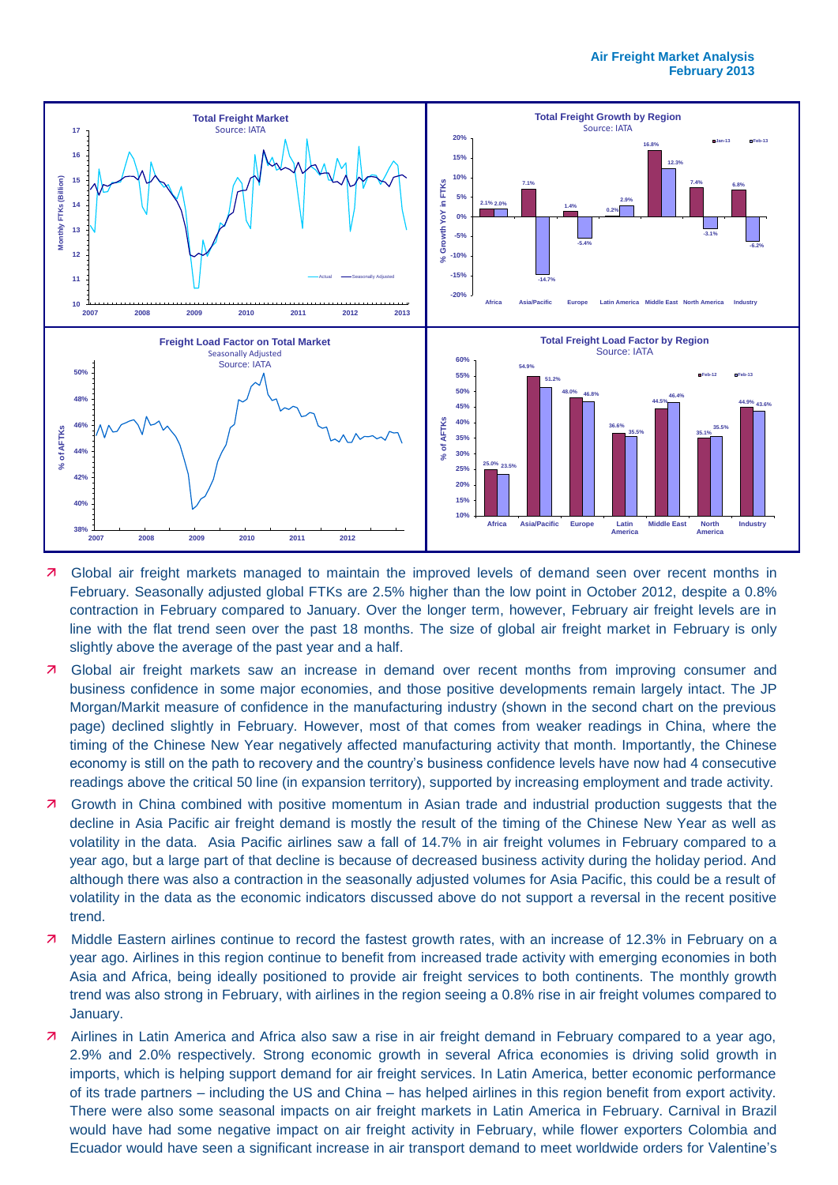

- **7** Global air freight markets managed to maintain the improved levels of demand seen over recent months in February. Seasonally adjusted global FTKs are 2.5% higher than the low point in October 2012, despite a 0.8% contraction in February compared to January. Over the longer term, however, February air freight levels are in line with the flat trend seen over the past 18 months. The size of global air freight market in February is only slightly above the average of the past year and a half.
- **7** Global air freight markets saw an increase in demand over recent months from improving consumer and business confidence in some major economies, and those positive developments remain largely intact. The JP Morgan/Markit measure of confidence in the manufacturing industry (shown in the second chart on the previous page) declined slightly in February. However, most of that comes from weaker readings in China, where the timing of the Chinese New Year negatively affected manufacturing activity that month. Importantly, the Chinese economy is still on the path to recovery and the country's business confidence levels have now had 4 consecutive readings above the critical 50 line (in expansion territory), supported by increasing employment and trade activity.
- **7** Growth in China combined with positive momentum in Asian trade and industrial production suggests that the decline in Asia Pacific air freight demand is mostly the result of the timing of the Chinese New Year as well as volatility in the data. Asia Pacific airlines saw a fall of 14.7% in air freight volumes in February compared to a year ago, but a large part of that decline is because of decreased business activity during the holiday period. And although there was also a contraction in the seasonally adjusted volumes for Asia Pacific, this could be a result of volatility in the data as the economic indicators discussed above do not support a reversal in the recent positive trend.
- **7** Middle Eastern airlines continue to record the fastest growth rates, with an increase of 12.3% in February on a year ago. Airlines in this region continue to benefit from increased trade activity with emerging economies in both Asia and Africa, being ideally positioned to provide air freight services to both continents. The monthly growth trend was also strong in February, with airlines in the region seeing a 0.8% rise in air freight volumes compared to January.
- Airlines in Latin America and Africa also saw a rise in air freight demand in February compared to a year ago, 2.9% and 2.0% respectively. Strong economic growth in several Africa economies is driving solid growth in imports, which is helping support demand for air freight services. In Latin America, better economic performance of its trade partners – including the US and China – has helped airlines in this region benefit from export activity. There were also some seasonal impacts on air freight markets in Latin America in February. Carnival in Brazil would have had some negative impact on air freight activity in February, while flower exporters Colombia and Ecuador would have seen a significant increase in air transport demand to meet worldwide orders for Valentine's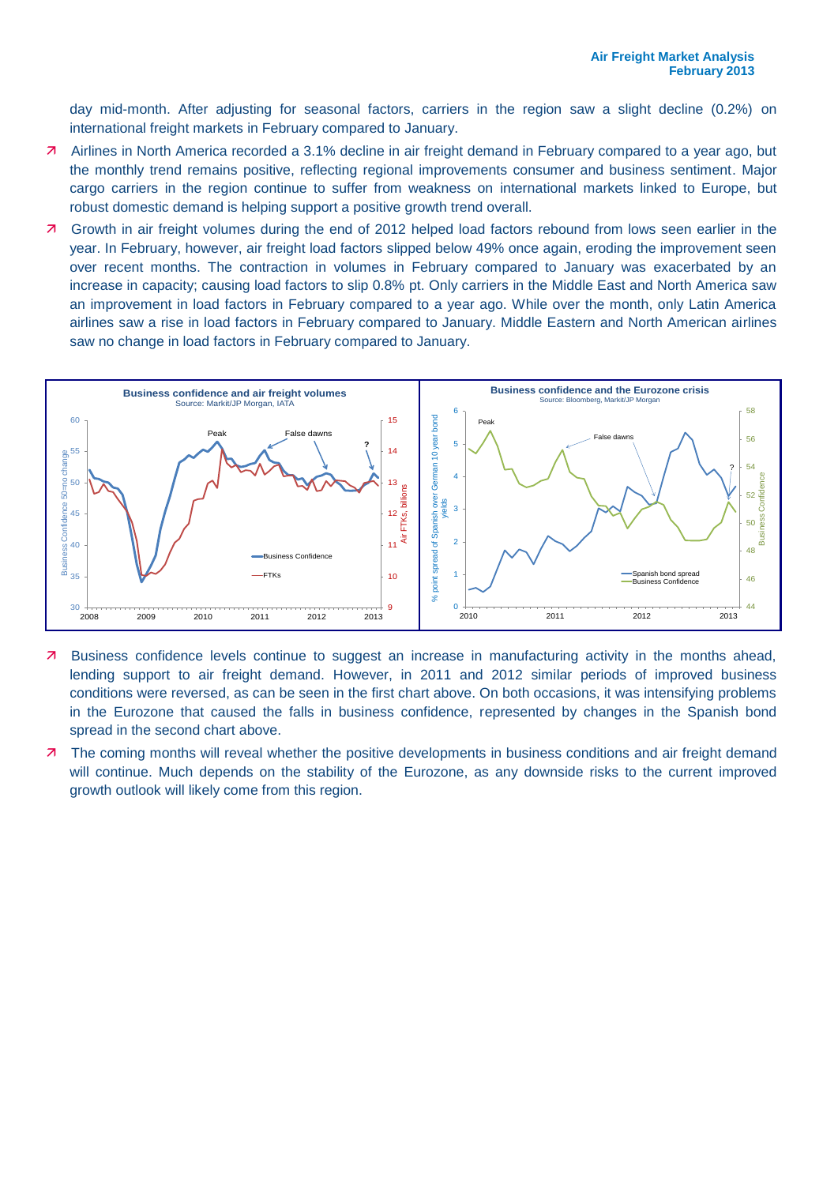day mid-month. After adjusting for seasonal factors, carriers in the region saw a slight decline (0.2%) on international freight markets in February compared to January.

- Airlines in North America recorded a 3.1% decline in air freight demand in February compared to a year ago, but the monthly trend remains positive, reflecting regional improvements consumer and business sentiment. Major cargo carriers in the region continue to suffer from weakness on international markets linked to Europe, but robust domestic demand is helping support a positive growth trend overall.
- Growth in air freight volumes during the end of 2012 helped load factors rebound from lows seen earlier in the year. In February, however, air freight load factors slipped below 49% once again, eroding the improvement seen over recent months. The contraction in volumes in February compared to January was exacerbated by an increase in capacity; causing load factors to slip 0.8% pt. Only carriers in the Middle East and North America saw an improvement in load factors in February compared to a year ago. While over the month, only Latin America airlines saw a rise in load factors in February compared to January. Middle Eastern and North American airlines saw no change in load factors in February compared to January.



- Business confidence levels continue to suggest an increase in manufacturing activity in the months ahead, lending support to air freight demand. However, in 2011 and 2012 similar periods of improved business conditions were reversed, as can be seen in the first chart above. On both occasions, it was intensifying problems in the Eurozone that caused the falls in business confidence, represented by changes in the Spanish bond spread in the second chart above.
- **7** The coming months will reveal whether the positive developments in business conditions and air freight demand will continue. Much depends on the stability of the Eurozone, as any downside risks to the current improved growth outlook will likely come from this region.